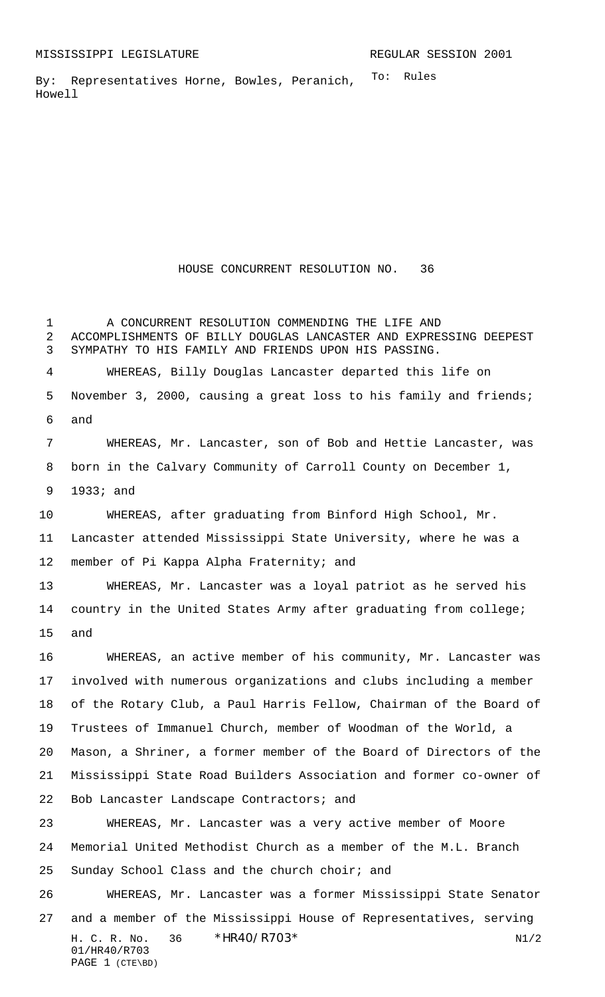To: Rules By: Representatives Horne, Bowles, Peranich, Howell

HOUSE CONCURRENT RESOLUTION NO. 36

H. C. R. No.  $36 * HR40/RT03*$  N1/2 01/HR40/R703 PAGE 1 (CTE\BD) A CONCURRENT RESOLUTION COMMENDING THE LIFE AND ACCOMPLISHMENTS OF BILLY DOUGLAS LANCASTER AND EXPRESSING DEEPEST SYMPATHY TO HIS FAMILY AND FRIENDS UPON HIS PASSING. WHEREAS, Billy Douglas Lancaster departed this life on November 3, 2000, causing a great loss to his family and friends; and WHEREAS, Mr. Lancaster, son of Bob and Hettie Lancaster, was born in the Calvary Community of Carroll County on December 1, 1933; and WHEREAS, after graduating from Binford High School, Mr. Lancaster attended Mississippi State University, where he was a member of Pi Kappa Alpha Fraternity; and WHEREAS, Mr. Lancaster was a loyal patriot as he served his 14 country in the United States Army after graduating from college; and WHEREAS, an active member of his community, Mr. Lancaster was involved with numerous organizations and clubs including a member of the Rotary Club, a Paul Harris Fellow, Chairman of the Board of Trustees of Immanuel Church, member of Woodman of the World, a Mason, a Shriner, a former member of the Board of Directors of the Mississippi State Road Builders Association and former co-owner of Bob Lancaster Landscape Contractors; and WHEREAS, Mr. Lancaster was a very active member of Moore Memorial United Methodist Church as a member of the M.L. Branch Sunday School Class and the church choir; and WHEREAS, Mr. Lancaster was a former Mississippi State Senator and a member of the Mississippi House of Representatives, serving